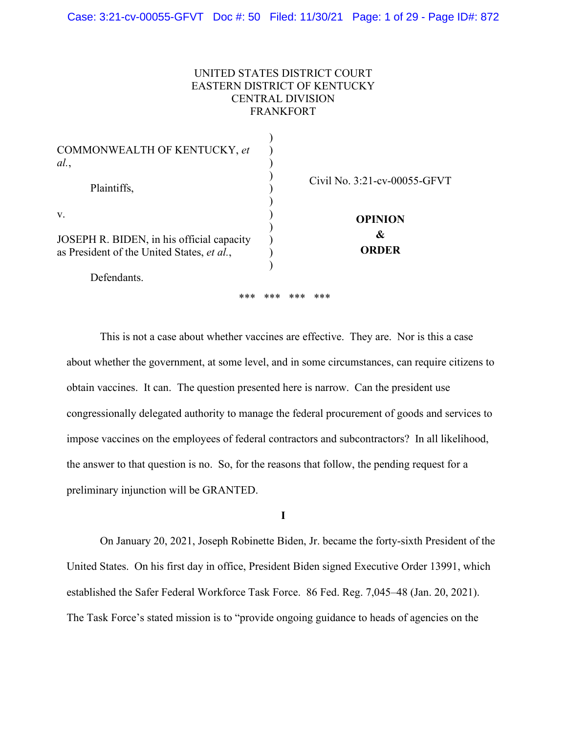## UNITED STATES DISTRICT COURT EASTERN DISTRICT OF KENTUCKY CENTRAL DIVISION FRANKFORT

| COMMONWEALTH OF KENTUCKY, et<br>al.                                                                          |                                     |
|--------------------------------------------------------------------------------------------------------------|-------------------------------------|
| Plaintiffs,                                                                                                  | Civil No. 3:21-cv-00055-GFVT        |
| V.<br>JOSEPH R. BIDEN, in his official capacity<br>as President of the United States, et al.,<br>Defendants. | <b>OPINION</b><br>&<br><b>ORDER</b> |
| ***                                                                                                          | ***<br>***<br>$***$                 |

 This is not a case about whether vaccines are effective. They are. Nor is this a case about whether the government, at some level, and in some circumstances, can require citizens to obtain vaccines. It can. The question presented here is narrow. Can the president use congressionally delegated authority to manage the federal procurement of goods and services to impose vaccines on the employees of federal contractors and subcontractors? In all likelihood, the answer to that question is no. So, for the reasons that follow, the pending request for a preliminary injunction will be GRANTED.

**I** 

 On January 20, 2021, Joseph Robinette Biden, Jr. became the forty-sixth President of the United States. On his first day in office, President Biden signed Executive Order 13991, which established the Safer Federal Workforce Task Force. 86 Fed. Reg. 7,045–48 (Jan. 20, 2021). The Task Force's stated mission is to "provide ongoing guidance to heads of agencies on the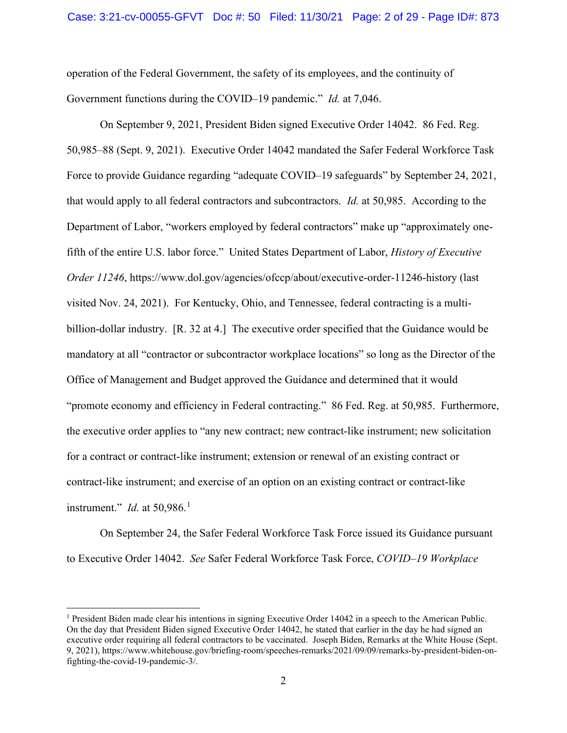operation of the Federal Government, the safety of its employees, and the continuity of Government functions during the COVID–19 pandemic." *Id.* at 7,046.

 On September 9, 2021, President Biden signed Executive Order 14042. 86 Fed. Reg. 50,985–88 (Sept. 9, 2021). Executive Order 14042 mandated the Safer Federal Workforce Task Force to provide Guidance regarding "adequate COVID–19 safeguards" by September 24, 2021, that would apply to all federal contractors and subcontractors. *Id.* at 50,985. According to the Department of Labor, "workers employed by federal contractors" make up "approximately onefifth of the entire U.S. labor force." United States Department of Labor, *History of Executive Order 11246*, https://www.dol.gov/agencies/ofccp/about/executive-order-11246-history (last visited Nov. 24, 2021).For Kentucky, Ohio, and Tennessee, federal contracting is a multibillion-dollar industry. [R. 32 at 4.] The executive order specified that the Guidance would be mandatory at all "contractor or subcontractor workplace locations" so long as the Director of the Office of Management and Budget approved the Guidance and determined that it would "promote economy and efficiency in Federal contracting." 86 Fed. Reg. at 50,985.Furthermore, the executive order applies to "any new contract; new contract-like instrument; new solicitation for a contract or contract-like instrument; extension or renewal of an existing contract or contract-like instrument; and exercise of an option on an existing contract or contract-like instrument." *Id.* at 50,986.<sup>1</sup>

On September 24, the Safer Federal Workforce Task Force issued its Guidance pursuant to Executive Order 14042. *See* Safer Federal Workforce Task Force, *COVID–19 Workplace* 

<sup>&</sup>lt;sup>1</sup> President Biden made clear his intentions in signing Executive Order 14042 in a speech to the American Public. On the day that President Biden signed Executive Order 14042, he stated that earlier in the day he had signed an executive order requiring all federal contractors to be vaccinated. Joseph Biden, Remarks at the White House (Sept. 9, 2021), https://www.whitehouse.gov/briefing-room/speeches-remarks/2021/09/09/remarks-by-president-biden-onfighting-the-covid-19-pandemic-3/.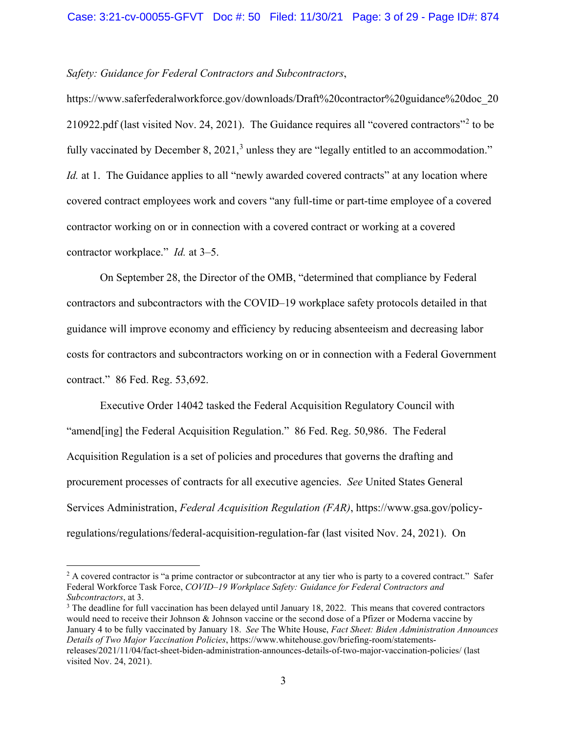## *Safety: Guidance for Federal Contractors and Subcontractors*,

https://www.saferfederalworkforce.gov/downloads/Draft%20contractor%20guidance%20doc\_20 210922.pdf (last visited Nov. 24, 2021). The Guidance requires all "covered contractors"<sup>2</sup> to be fully vaccinated by December 8, 2021,<sup>3</sup> unless they are "legally entitled to an accommodation." *Id.* at 1. The Guidance applies to all "newly awarded covered contracts" at any location where covered contract employees work and covers "any full-time or part-time employee of a covered contractor working on or in connection with a covered contract or working at a covered contractor workplace." *Id.* at 3–5.

 On September 28, the Director of the OMB, "determined that compliance by Federal contractors and subcontractors with the COVID–19 workplace safety protocols detailed in that guidance will improve economy and efficiency by reducing absenteeism and decreasing labor costs for contractors and subcontractors working on or in connection with a Federal Government contract." 86 Fed. Reg. 53,692.

 Executive Order 14042 tasked the Federal Acquisition Regulatory Council with "amend[ing] the Federal Acquisition Regulation." 86 Fed. Reg. 50,986. The Federal Acquisition Regulation is a set of policies and procedures that governs the drafting and procurement processes of contracts for all executive agencies. *See* United States General Services Administration, *Federal Acquisition Regulation (FAR)*, https://www.gsa.gov/policyregulations/regulations/federal-acquisition-regulation-far (last visited Nov. 24, 2021). On

<sup>&</sup>lt;sup>2</sup> A covered contractor is "a prime contractor or subcontractor at any tier who is party to a covered contract." Safer Federal Workforce Task Force, *COVID–19 Workplace Safety: Guidance for Federal Contractors and Subcontractors*, at 3.<br><sup>3</sup> The deadline for full vaccination has been delayed until January 18, 2022. This means that covered contractors

would need to receive their Johnson & Johnson vaccine or the second dose of a Pfizer or Moderna vaccine by January 4 to be fully vaccinated by January 18. *See* The White House, *Fact Sheet: Biden Administration Announces Details of Two Major Vaccination Policies*, https://www.whitehouse.gov/briefing-room/statementsreleases/2021/11/04/fact-sheet-biden-administration-announces-details-of-two-major-vaccination-policies/ (last visited Nov. 24, 2021).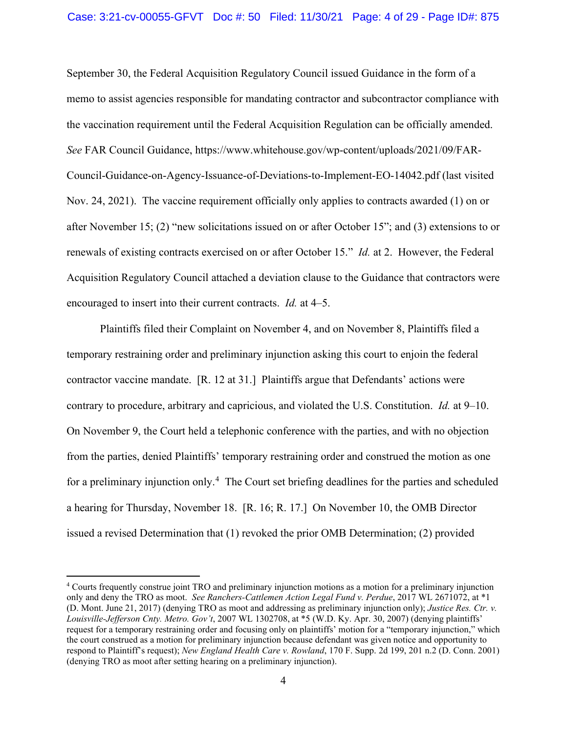September 30, the Federal Acquisition Regulatory Council issued Guidance in the form of a memo to assist agencies responsible for mandating contractor and subcontractor compliance with the vaccination requirement until the Federal Acquisition Regulation can be officially amended. *See* FAR Council Guidance, https://www.whitehouse.gov/wp-content/uploads/2021/09/FAR-Council-Guidance-on-Agency-Issuance-of-Deviations-to-Implement-EO-14042.pdf (last visited Nov. 24, 2021). The vaccine requirement officially only applies to contracts awarded (1) on or after November 15; (2) "new solicitations issued on or after October 15"; and (3) extensions to or renewals of existing contracts exercised on or after October 15." *Id.* at 2. However, the Federal Acquisition Regulatory Council attached a deviation clause to the Guidance that contractors were encouraged to insert into their current contracts. *Id.* at 4–5.

 Plaintiffs filed their Complaint on November 4, and on November 8, Plaintiffs filed a temporary restraining order and preliminary injunction asking this court to enjoin the federal contractor vaccine mandate. [R. 12 at 31.] Plaintiffs argue that Defendants' actions were contrary to procedure, arbitrary and capricious, and violated the U.S. Constitution. *Id.* at 9–10. On November 9, the Court held a telephonic conference with the parties, and with no objection from the parties, denied Plaintiffs' temporary restraining order and construed the motion as one for a preliminary injunction only.<sup>4</sup> The Court set briefing deadlines for the parties and scheduled a hearing for Thursday, November 18. [R. 16; R. 17.] On November 10, the OMB Director issued a revised Determination that (1) revoked the prior OMB Determination; (2) provided

<sup>4</sup> Courts frequently construe joint TRO and preliminary injunction motions as a motion for a preliminary injunction only and deny the TRO as moot. *See Ranchers-Cattlemen Action Legal Fund v. Perdue*, 2017 WL 2671072, at \*1 (D. Mont. June 21, 2017) (denying TRO as moot and addressing as preliminary injunction only); *Justice Res. Ctr. v. Louisville-Jefferson Cnty. Metro. Gov't*, 2007 WL 1302708, at \*5 (W.D. Ky. Apr. 30, 2007) (denying plaintiffs' request for a temporary restraining order and focusing only on plaintiffs' motion for a "temporary injunction," which the court construed as a motion for preliminary injunction because defendant was given notice and opportunity to respond to Plaintiff's request); *New England Health Care v. Rowland*, 170 F. Supp. 2d 199, 201 n.2 (D. Conn. 2001) (denying TRO as moot after setting hearing on a preliminary injunction).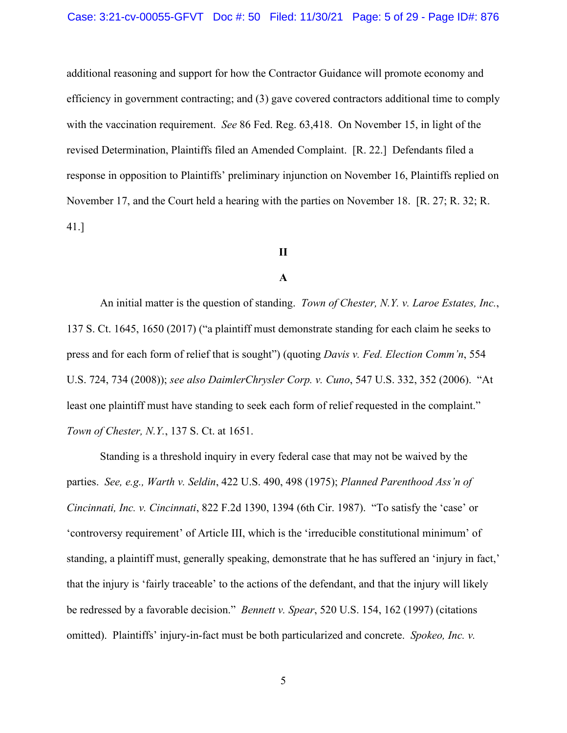additional reasoning and support for how the Contractor Guidance will promote economy and efficiency in government contracting; and (3) gave covered contractors additional time to comply with the vaccination requirement. *See* 86 Fed. Reg. 63,418. On November 15, in light of the revised Determination, Plaintiffs filed an Amended Complaint. [R. 22.] Defendants filed a response in opposition to Plaintiffs' preliminary injunction on November 16, Plaintiffs replied on November 17, and the Court held a hearing with the parties on November 18. [R. 27; R. 32; R. 41.]

# **II**

## **A**

An initial matter is the question of standing. *Town of Chester, N.Y. v. Laroe Estates, Inc.*, 137 S. Ct. 1645, 1650 (2017) ("a plaintiff must demonstrate standing for each claim he seeks to press and for each form of relief that is sought") (quoting *Davis v. Fed. Election Comm'n*, 554 U.S. 724, 734 (2008)); *see also DaimlerChrysler Corp. v. Cuno*, 547 U.S. 332, 352 (2006). "At least one plaintiff must have standing to seek each form of relief requested in the complaint." *Town of Chester, N.Y.*, 137 S. Ct. at 1651.

 Standing is a threshold inquiry in every federal case that may not be waived by the parties. *See, e.g., Warth v. Seldin*, 422 U.S. 490, 498 (1975); *Planned Parenthood Ass'n of Cincinnati, Inc. v. Cincinnati*, 822 F.2d 1390, 1394 (6th Cir. 1987). "To satisfy the 'case' or 'controversy requirement' of Article III, which is the 'irreducible constitutional minimum' of standing, a plaintiff must, generally speaking, demonstrate that he has suffered an 'injury in fact,' that the injury is 'fairly traceable' to the actions of the defendant, and that the injury will likely be redressed by a favorable decision." *Bennett v. Spear*, 520 U.S. 154, 162 (1997) (citations omitted). Plaintiffs' injury-in-fact must be both particularized and concrete. *Spokeo, Inc. v.*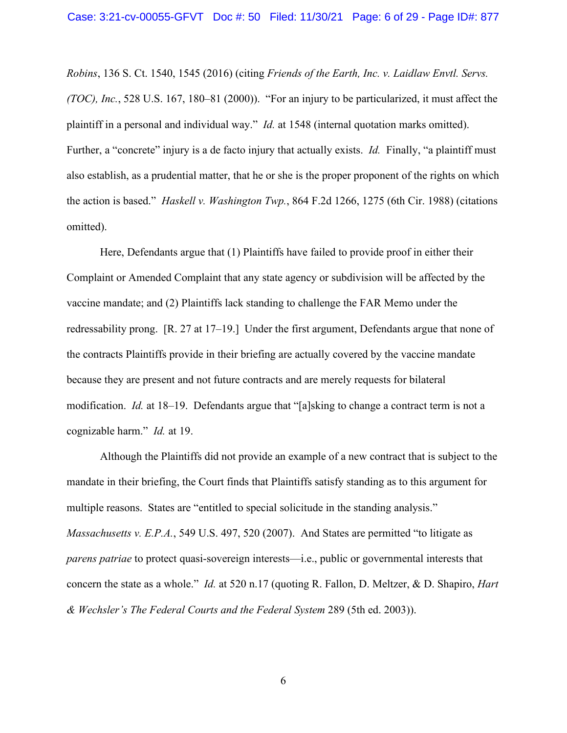*Robins*, 136 S. Ct. 1540, 1545 (2016) (citing *Friends of the Earth, Inc. v. Laidlaw Envtl. Servs. (TOC), Inc.*, 528 U.S. 167, 180–81 (2000)). "For an injury to be particularized, it must affect the plaintiff in a personal and individual way." *Id.* at 1548 (internal quotation marks omitted). Further, a "concrete" injury is a de facto injury that actually exists. *Id.* Finally, "a plaintiff must also establish, as a prudential matter, that he or she is the proper proponent of the rights on which the action is based." *Haskell v. Washington Twp.*, 864 F.2d 1266, 1275 (6th Cir. 1988) (citations omitted).

Here, Defendants argue that (1) Plaintiffs have failed to provide proof in either their Complaint or Amended Complaint that any state agency or subdivision will be affected by the vaccine mandate; and (2) Plaintiffs lack standing to challenge the FAR Memo under the redressability prong. [R. 27 at 17–19.] Under the first argument, Defendants argue that none of the contracts Plaintiffs provide in their briefing are actually covered by the vaccine mandate because they are present and not future contracts and are merely requests for bilateral modification. *Id.* at 18–19. Defendants argue that "[a]sking to change a contract term is not a cognizable harm." *Id.* at 19.

 Although the Plaintiffs did not provide an example of a new contract that is subject to the mandate in their briefing, the Court finds that Plaintiffs satisfy standing as to this argument for multiple reasons. States are "entitled to special solicitude in the standing analysis." *Massachusetts v. E.P.A.*, 549 U.S. 497, 520 (2007). And States are permitted "to litigate as *parens patriae* to protect quasi-sovereign interests—i.e., public or governmental interests that concern the state as a whole." *Id.* at 520 n.17 (quoting R. Fallon, D. Meltzer, & D. Shapiro, *Hart & Wechsler's The Federal Courts and the Federal System* 289 (5th ed. 2003)).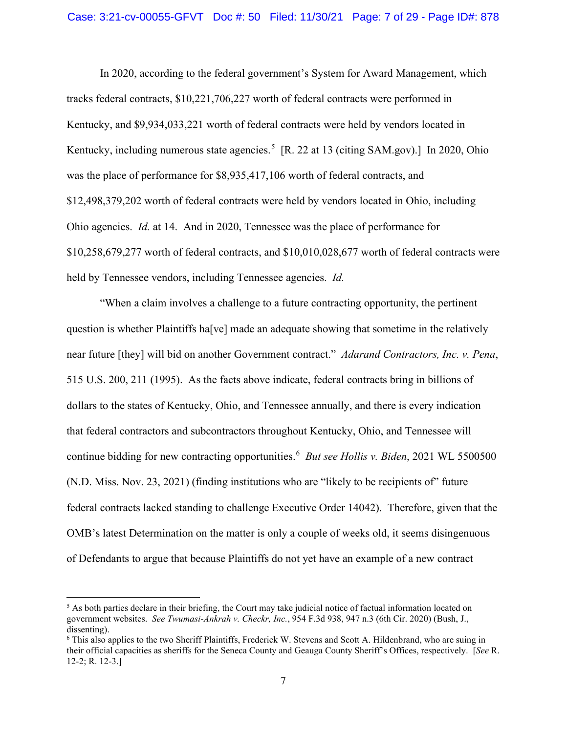In 2020, according to the federal government's System for Award Management, which tracks federal contracts, \$10,221,706,227 worth of federal contracts were performed in Kentucky, and \$9,934,033,221 worth of federal contracts were held by vendors located in Kentucky, including numerous state agencies.<sup>5</sup> [R. 22 at 13 (citing SAM.gov).] In 2020, Ohio was the place of performance for \$8,935,417,106 worth of federal contracts, and \$12,498,379,202 worth of federal contracts were held by vendors located in Ohio, including Ohio agencies. *Id.* at 14. And in 2020, Tennessee was the place of performance for \$10,258,679,277 worth of federal contracts, and \$10,010,028,677 worth of federal contracts were held by Tennessee vendors, including Tennessee agencies. *Id.* 

"When a claim involves a challenge to a future contracting opportunity, the pertinent question is whether Plaintiffs ha[ve] made an adequate showing that sometime in the relatively near future [they] will bid on another Government contract." *Adarand Contractors, Inc. v. Pena*, 515 U.S. 200, 211 (1995). As the facts above indicate, federal contracts bring in billions of dollars to the states of Kentucky, Ohio, and Tennessee annually, and there is every indication that federal contractors and subcontractors throughout Kentucky, Ohio, and Tennessee will continue bidding for new contracting opportunities.<sup>6</sup> *But see Hollis v. Biden*, 2021 WL 5500500 (N.D. Miss. Nov. 23, 2021) (finding institutions who are "likely to be recipients of" future federal contracts lacked standing to challenge Executive Order 14042).Therefore, given that the OMB's latest Determination on the matter is only a couple of weeks old, it seems disingenuous of Defendants to argue that because Plaintiffs do not yet have an example of a new contract

 $<sup>5</sup>$  As both parties declare in their briefing, the Court may take judicial notice of factual information located on</sup> government websites. *See Twumasi-Ankrah v. Checkr, Inc.*, 954 F.3d 938, 947 n.3 (6th Cir. 2020) (Bush, J., dissenting).

<sup>6</sup> This also applies to the two Sheriff Plaintiffs, Frederick W. Stevens and Scott A. Hildenbrand, who are suing in their official capacities as sheriffs for the Seneca County and Geauga County Sheriff's Offices, respectively. [*See* R. 12-2; R. 12-3.]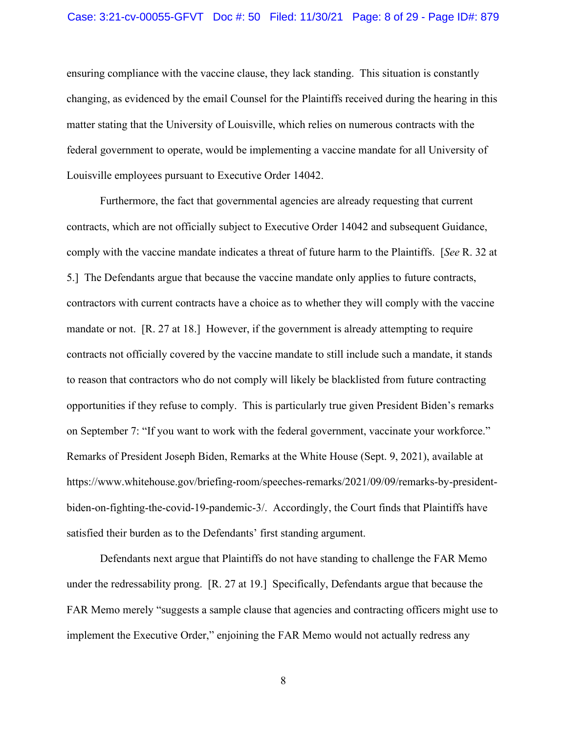#### Case: 3:21-cv-00055-GFVT Doc #: 50 Filed: 11/30/21 Page: 8 of 29 - Page ID#: 879

ensuring compliance with the vaccine clause, they lack standing. This situation is constantly changing, as evidenced by the email Counsel for the Plaintiffs received during the hearing in this matter stating that the University of Louisville, which relies on numerous contracts with the federal government to operate, would be implementing a vaccine mandate for all University of Louisville employees pursuant to Executive Order 14042.

Furthermore, the fact that governmental agencies are already requesting that current contracts, which are not officially subject to Executive Order 14042 and subsequent Guidance, comply with the vaccine mandate indicates a threat of future harm to the Plaintiffs. [*See* R. 32 at 5.] The Defendants argue that because the vaccine mandate only applies to future contracts, contractors with current contracts have a choice as to whether they will comply with the vaccine mandate or not. [R. 27 at 18.] However, if the government is already attempting to require contracts not officially covered by the vaccine mandate to still include such a mandate, it stands to reason that contractors who do not comply will likely be blacklisted from future contracting opportunities if they refuse to comply. This is particularly true given President Biden's remarks on September 7: "If you want to work with the federal government, vaccinate your workforce." Remarks of President Joseph Biden, Remarks at the White House (Sept. 9, 2021), available at https://www.whitehouse.gov/briefing-room/speeches-remarks/2021/09/09/remarks-by-presidentbiden-on-fighting-the-covid-19-pandemic-3/. Accordingly, the Court finds that Plaintiffs have satisfied their burden as to the Defendants' first standing argument.

Defendants next argue that Plaintiffs do not have standing to challenge the FAR Memo under the redressability prong. [R. 27 at 19.] Specifically, Defendants argue that because the FAR Memo merely "suggests a sample clause that agencies and contracting officers might use to implement the Executive Order," enjoining the FAR Memo would not actually redress any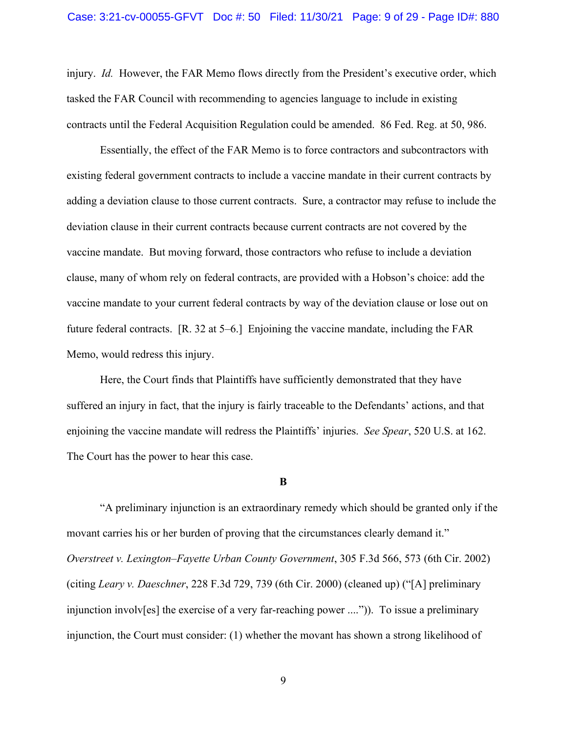injury. *Id.* However, the FAR Memo flows directly from the President's executive order, which tasked the FAR Council with recommending to agencies language to include in existing contracts until the Federal Acquisition Regulation could be amended. 86 Fed. Reg. at 50, 986.

Essentially, the effect of the FAR Memo is to force contractors and subcontractors with existing federal government contracts to include a vaccine mandate in their current contracts by adding a deviation clause to those current contracts. Sure, a contractor may refuse to include the deviation clause in their current contracts because current contracts are not covered by the vaccine mandate. But moving forward, those contractors who refuse to include a deviation clause, many of whom rely on federal contracts, are provided with a Hobson's choice: add the vaccine mandate to your current federal contracts by way of the deviation clause or lose out on future federal contracts. [R. 32 at 5–6.] Enjoining the vaccine mandate, including the FAR Memo, would redress this injury.

Here, the Court finds that Plaintiffs have sufficiently demonstrated that they have suffered an injury in fact, that the injury is fairly traceable to the Defendants' actions, and that enjoining the vaccine mandate will redress the Plaintiffs' injuries. *See Spear*, 520 U.S. at 162. The Court has the power to hear this case.

#### **B**

 "A preliminary injunction is an extraordinary remedy which should be granted only if the movant carries his or her burden of proving that the circumstances clearly demand it." *Overstreet v. Lexington–Fayette Urban County Government*, 305 F.3d 566, 573 (6th Cir. 2002) (citing *Leary v. Daeschner*, 228 F.3d 729, 739 (6th Cir. 2000) (cleaned up) ("[A] preliminary injunction involv[es] the exercise of a very far-reaching power ....")). To issue a preliminary injunction, the Court must consider: (1) whether the movant has shown a strong likelihood of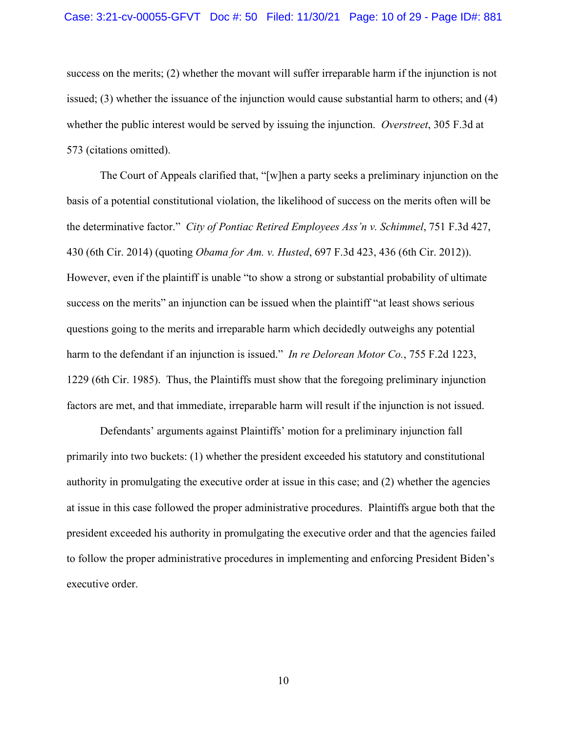success on the merits; (2) whether the movant will suffer irreparable harm if the injunction is not issued; (3) whether the issuance of the injunction would cause substantial harm to others; and (4) whether the public interest would be served by issuing the injunction. *Overstreet*, 305 F.3d at 573 (citations omitted).

 The Court of Appeals clarified that, "[w]hen a party seeks a preliminary injunction on the basis of a potential constitutional violation, the likelihood of success on the merits often will be the determinative factor." *City of Pontiac Retired Employees Ass'n v. Schimmel*, 751 F.3d 427, 430 (6th Cir. 2014) (quoting *Obama for Am. v. Husted*, 697 F.3d 423, 436 (6th Cir. 2012)). However, even if the plaintiff is unable "to show a strong or substantial probability of ultimate success on the merits" an injunction can be issued when the plaintiff "at least shows serious questions going to the merits and irreparable harm which decidedly outweighs any potential harm to the defendant if an injunction is issued." *In re Delorean Motor Co.*, 755 F.2d 1223, 1229 (6th Cir. 1985). Thus, the Plaintiffs must show that the foregoing preliminary injunction factors are met, and that immediate, irreparable harm will result if the injunction is not issued.

 Defendants' arguments against Plaintiffs' motion for a preliminary injunction fall primarily into two buckets: (1) whether the president exceeded his statutory and constitutional authority in promulgating the executive order at issue in this case; and (2) whether the agencies at issue in this case followed the proper administrative procedures. Plaintiffs argue both that the president exceeded his authority in promulgating the executive order and that the agencies failed to follow the proper administrative procedures in implementing and enforcing President Biden's executive order.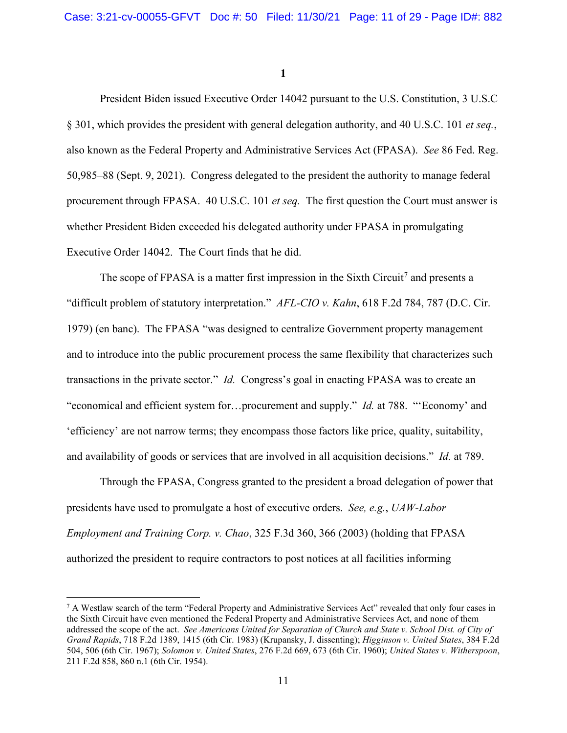**1** 

 President Biden issued Executive Order 14042 pursuant to the U.S. Constitution, 3 U.S.C § 301, which provides the president with general delegation authority, and 40 U.S.C. 101 *et seq.*, also known as the Federal Property and Administrative Services Act (FPASA). *See* 86 Fed. Reg. 50,985–88 (Sept. 9, 2021). Congress delegated to the president the authority to manage federal procurement through FPASA. 40 U.S.C. 101 *et seq.* The first question the Court must answer is whether President Biden exceeded his delegated authority under FPASA in promulgating Executive Order 14042. The Court finds that he did.

The scope of FPASA is a matter first impression in the Sixth Circuit<sup>7</sup> and presents a "difficult problem of statutory interpretation." *AFL-CIO v. Kahn*, 618 F.2d 784, 787 (D.C. Cir. 1979) (en banc). The FPASA "was designed to centralize Government property management and to introduce into the public procurement process the same flexibility that characterizes such transactions in the private sector." *Id.* Congress's goal in enacting FPASA was to create an "economical and efficient system for…procurement and supply." *Id.* at 788. "'Economy' and 'efficiency' are not narrow terms; they encompass those factors like price, quality, suitability, and availability of goods or services that are involved in all acquisition decisions." *Id.* at 789.

 Through the FPASA, Congress granted to the president a broad delegation of power that presidents have used to promulgate a host of executive orders. *See, e.g.*, *UAW-Labor Employment and Training Corp. v. Chao*, 325 F.3d 360, 366 (2003) (holding that FPASA authorized the president to require contractors to post notices at all facilities informing

<sup>&</sup>lt;sup>7</sup> A Westlaw search of the term "Federal Property and Administrative Services Act" revealed that only four cases in the Sixth Circuit have even mentioned the Federal Property and Administrative Services Act, and none of them addressed the scope of the act. *See Americans United for Separation of Church and State v. School Dist. of City of Grand Rapids*, 718 F.2d 1389, 1415 (6th Cir. 1983) (Krupansky, J. dissenting); *Higginson v. United States*, 384 F.2d 504, 506 (6th Cir. 1967); *Solomon v. United States*, 276 F.2d 669, 673 (6th Cir. 1960); *United States v. Witherspoon*, 211 F.2d 858, 860 n.1 (6th Cir. 1954).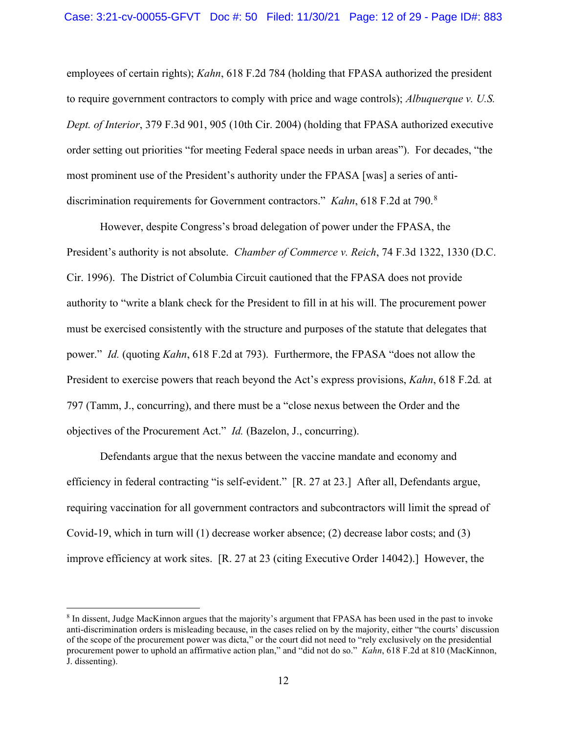employees of certain rights); *Kahn*, 618 F.2d 784 (holding that FPASA authorized the president to require government contractors to comply with price and wage controls); *Albuquerque v. U.S. Dept. of Interior*, 379 F.3d 901, 905 (10th Cir. 2004) (holding that FPASA authorized executive order setting out priorities "for meeting Federal space needs in urban areas"). For decades, "the most prominent use of the President's authority under the FPASA [was] a series of antidiscrimination requirements for Government contractors." *Kahn*, 618 F.2d at 790.<sup>8</sup>

 However, despite Congress's broad delegation of power under the FPASA, the President's authority is not absolute. *Chamber of Commerce v. Reich*, 74 F.3d 1322, 1330 (D.C. Cir. 1996). The District of Columbia Circuit cautioned that the FPASA does not provide authority to "write a blank check for the President to fill in at his will. The procurement power must be exercised consistently with the structure and purposes of the statute that delegates that power." *Id.* (quoting *Kahn*, 618 F.2d at 793). Furthermore, the FPASA "does not allow the President to exercise powers that reach beyond the Act's express provisions, *Kahn*, 618 F.2d*.* at 797 (Tamm, J., concurring), and there must be a "close nexus between the Order and the objectives of the Procurement Act." *Id.* (Bazelon, J., concurring).

 Defendants argue that the nexus between the vaccine mandate and economy and efficiency in federal contracting "is self-evident." [R. 27 at 23.] After all, Defendants argue, requiring vaccination for all government contractors and subcontractors will limit the spread of Covid-19, which in turn will (1) decrease worker absence; (2) decrease labor costs; and (3) improve efficiency at work sites. [R. 27 at 23 (citing Executive Order 14042).] However, the

<sup>8</sup> In dissent, Judge MacKinnon argues that the majority's argument that FPASA has been used in the past to invoke anti-discrimination orders is misleading because, in the cases relied on by the majority, either "the courts' discussion of the scope of the procurement power was dicta," or the court did not need to "rely exclusively on the presidential procurement power to uphold an affirmative action plan," and "did not do so." *Kahn*, 618 F.2d at 810 (MacKinnon, J. dissenting).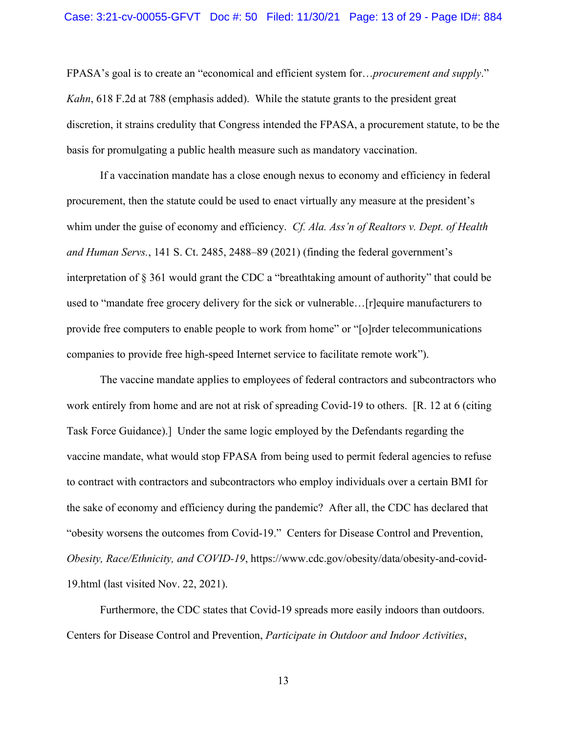FPASA's goal is to create an "economical and efficient system for…*procurement and supply*." *Kahn*, 618 F.2d at 788 (emphasis added). While the statute grants to the president great discretion, it strains credulity that Congress intended the FPASA, a procurement statute, to be the basis for promulgating a public health measure such as mandatory vaccination.

If a vaccination mandate has a close enough nexus to economy and efficiency in federal procurement, then the statute could be used to enact virtually any measure at the president's whim under the guise of economy and efficiency. *Cf. Ala. Ass'n of Realtors v. Dept. of Health and Human Servs.*, 141 S. Ct. 2485, 2488–89 (2021) (finding the federal government's interpretation of § 361 would grant the CDC a "breathtaking amount of authority" that could be used to "mandate free grocery delivery for the sick or vulnerable…[r]equire manufacturers to provide free computers to enable people to work from home" or "[o]rder telecommunications companies to provide free high-speed Internet service to facilitate remote work").

The vaccine mandate applies to employees of federal contractors and subcontractors who work entirely from home and are not at risk of spreading Covid-19 to others. [R. 12 at 6 (citing Task Force Guidance).] Under the same logic employed by the Defendants regarding the vaccine mandate, what would stop FPASA from being used to permit federal agencies to refuse to contract with contractors and subcontractors who employ individuals over a certain BMI for the sake of economy and efficiency during the pandemic? After all, the CDC has declared that "obesity worsens the outcomes from Covid-19." Centers for Disease Control and Prevention, *Obesity, Race/Ethnicity, and COVID-19*, https://www.cdc.gov/obesity/data/obesity-and-covid-19.html (last visited Nov. 22, 2021).

Furthermore, the CDC states that Covid-19 spreads more easily indoors than outdoors. Centers for Disease Control and Prevention, *Participate in Outdoor and Indoor Activities*,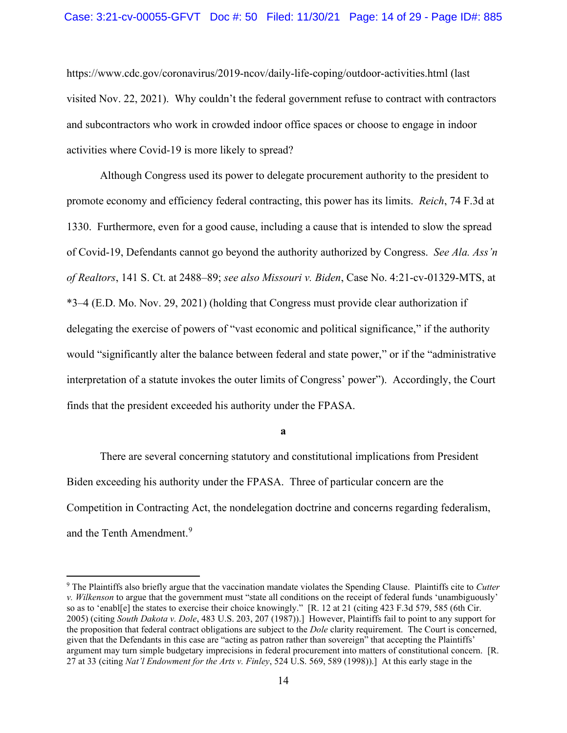#### Case: 3:21-cv-00055-GFVT Doc #: 50 Filed: 11/30/21 Page: 14 of 29 - Page ID#: 885

https://www.cdc.gov/coronavirus/2019-ncov/daily-life-coping/outdoor-activities.html (last visited Nov. 22, 2021). Why couldn't the federal government refuse to contract with contractors and subcontractors who work in crowded indoor office spaces or choose to engage in indoor activities where Covid-19 is more likely to spread?

Although Congress used its power to delegate procurement authority to the president to promote economy and efficiency federal contracting, this power has its limits. *Reich*, 74 F.3d at 1330. Furthermore, even for a good cause, including a cause that is intended to slow the spread of Covid-19, Defendants cannot go beyond the authority authorized by Congress. *See Ala. Ass'n of Realtors*, 141 S. Ct. at 2488–89; *see also Missouri v. Biden*, Case No. 4:21-cv-01329-MTS, at \*3–4 (E.D. Mo. Nov. 29, 2021) (holding that Congress must provide clear authorization if delegating the exercise of powers of "vast economic and political significance," if the authority would "significantly alter the balance between federal and state power," or if the "administrative interpretation of a statute invokes the outer limits of Congress' power"). Accordingly, the Court finds that the president exceeded his authority under the FPASA.

**a** 

There are several concerning statutory and constitutional implications from President Biden exceeding his authority under the FPASA. Three of particular concern are the Competition in Contracting Act, the nondelegation doctrine and concerns regarding federalism, and the Tenth Amendment.<sup>9</sup>

<sup>9</sup> The Plaintiffs also briefly argue that the vaccination mandate violates the Spending Clause. Plaintiffs cite to *Cutter v. Wilkenson* to argue that the government must "state all conditions on the receipt of federal funds 'unambiguously' so as to 'enabl[e] the states to exercise their choice knowingly." [R. 12 at 21 (citing 423 F.3d 579, 585 (6th Cir. 2005) (citing *South Dakota v. Dole*, 483 U.S. 203, 207 (1987)).] However, Plaintiffs fail to point to any support for the proposition that federal contract obligations are subject to the *Dole* clarity requirement. The Court is concerned, given that the Defendants in this case are "acting as patron rather than sovereign" that accepting the Plaintiffs' argument may turn simple budgetary imprecisions in federal procurement into matters of constitutional concern. [R. 27 at 33 (citing *Nat'l Endowment for the Arts v. Finley*, 524 U.S. 569, 589 (1998)).] At this early stage in the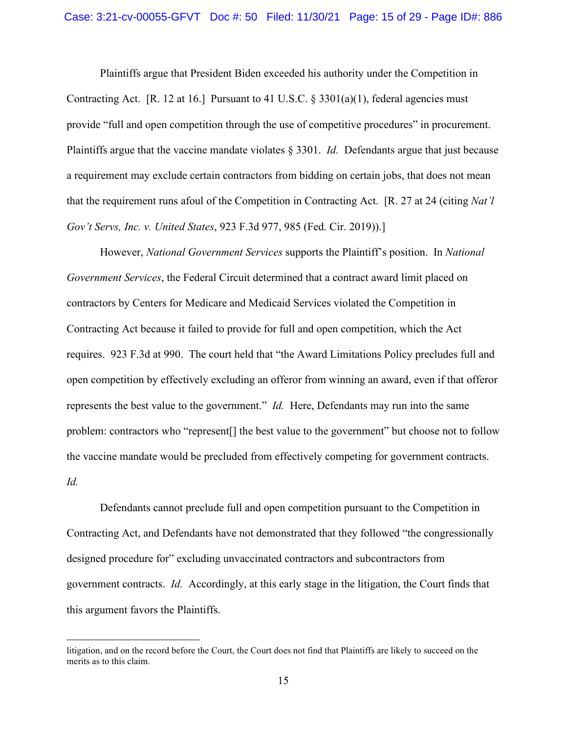Plaintiffs argue that President Biden exceeded his authority under the Competition in Contracting Act. [R. 12 at 16.] Pursuant to 41 U.S.C.  $\S 3301(a)(1)$ , federal agencies must provide "full and open competition through the use of competitive procedures" in procurement. Plaintiffs argue that the vaccine mandate violates § 3301. *Id.* Defendants argue that just because a requirement may exclude certain contractors from bidding on certain jobs, that does not mean that the requirement runs afoul of the Competition in Contracting Act. [R. 27 at 24 (citing *Nat'l Gov't Servs, Inc. v. United States*, 923 F.3d 977, 985 (Fed. Cir. 2019)).]

However, *National Government Services* supports the Plaintiff's position. In *National Government Services*, the Federal Circuit determined that a contract award limit placed on contractors by Centers for Medicare and Medicaid Services violated the Competition in Contracting Act because it failed to provide for full and open competition, which the Act requires. 923 F.3d at 990. The court held that "the Award Limitations Policy precludes full and open competition by effectively excluding an offeror from winning an award, even if that offeror represents the best value to the government." *Id.* Here, Defendants may run into the same problem: contractors who "represent[] the best value to the government" but choose not to follow the vaccine mandate would be precluded from effectively competing for government contracts. *Id.* 

Defendants cannot preclude full and open competition pursuant to the Competition in Contracting Act, and Defendants have not demonstrated that they followed "the congressionally designed procedure for" excluding unvaccinated contractors and subcontractors from government contracts. *Id.* Accordingly, at this early stage in the litigation, the Court finds that this argument favors the Plaintiffs.

litigation, and on the record before the Court, the Court does not find that Plaintiffs are likely to succeed on the merits as to this claim.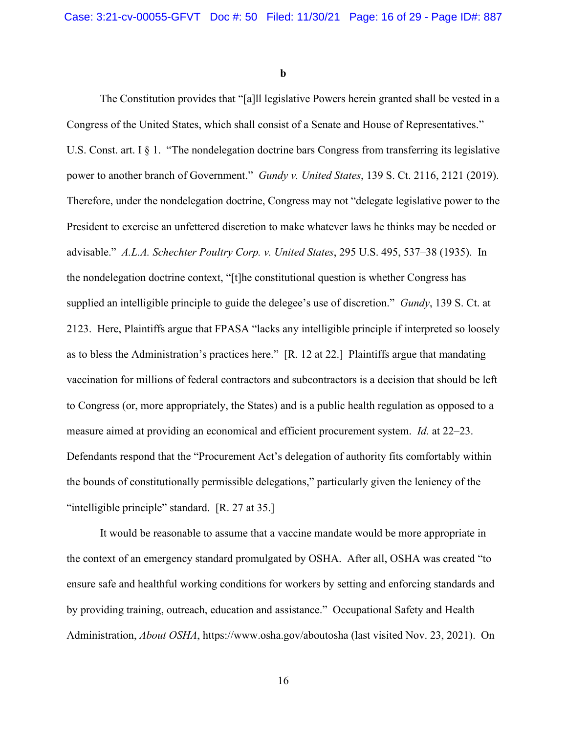**b** 

 The Constitution provides that "[a]ll legislative Powers herein granted shall be vested in a Congress of the United States, which shall consist of a Senate and House of Representatives." U.S. Const. art. I § 1. "The nondelegation doctrine bars Congress from transferring its legislative power to another branch of Government." *Gundy v. United States*, 139 S. Ct. 2116, 2121 (2019). Therefore, under the nondelegation doctrine, Congress may not "delegate legislative power to the President to exercise an unfettered discretion to make whatever laws he thinks may be needed or advisable." *A.L.A. Schechter Poultry Corp. v. United States*, 295 U.S. 495, 537–38 (1935). In the nondelegation doctrine context, "[t]he constitutional question is whether Congress has supplied an intelligible principle to guide the delegee's use of discretion." *Gundy*, 139 S. Ct. at 2123. Here, Plaintiffs argue that FPASA "lacks any intelligible principle if interpreted so loosely as to bless the Administration's practices here." [R. 12 at 22.] Plaintiffs argue that mandating vaccination for millions of federal contractors and subcontractors is a decision that should be left to Congress (or, more appropriately, the States) and is a public health regulation as opposed to a measure aimed at providing an economical and efficient procurement system. *Id.* at 22–23. Defendants respond that the "Procurement Act's delegation of authority fits comfortably within the bounds of constitutionally permissible delegations," particularly given the leniency of the "intelligible principle" standard. [R. 27 at 35.]

It would be reasonable to assume that a vaccine mandate would be more appropriate in the context of an emergency standard promulgated by OSHA. After all, OSHA was created "to ensure safe and healthful working conditions for workers by setting and enforcing standards and by providing training, outreach, education and assistance." Occupational Safety and Health Administration, *About OSHA*, https://www.osha.gov/aboutosha (last visited Nov. 23, 2021). On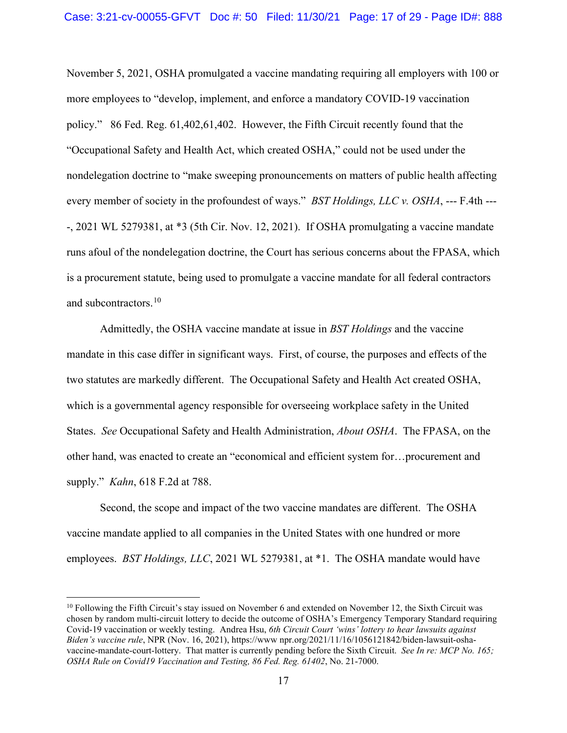November 5, 2021, OSHA promulgated a vaccine mandating requiring all employers with 100 or more employees to "develop, implement, and enforce a mandatory COVID-19 vaccination policy." 86 Fed. Reg. 61,402,61,402. However, the Fifth Circuit recently found that the "Occupational Safety and Health Act, which created OSHA," could not be used under the nondelegation doctrine to "make sweeping pronouncements on matters of public health affecting every member of society in the profoundest of ways." *BST Holdings, LLC v. OSHA*, --- F.4th --- -, 2021 WL 5279381, at \*3 (5th Cir. Nov. 12, 2021). If OSHA promulgating a vaccine mandate runs afoul of the nondelegation doctrine, the Court has serious concerns about the FPASA, which is a procurement statute, being used to promulgate a vaccine mandate for all federal contractors and subcontractors.<sup>10</sup>

Admittedly, the OSHA vaccine mandate at issue in *BST Holdings* and the vaccine mandate in this case differ in significant ways. First, of course, the purposes and effects of the two statutes are markedly different. The Occupational Safety and Health Act created OSHA, which is a governmental agency responsible for overseeing workplace safety in the United States. *See* Occupational Safety and Health Administration, *About OSHA*. The FPASA, on the other hand, was enacted to create an "economical and efficient system for…procurement and supply." *Kahn*, 618 F.2d at 788.

Second, the scope and impact of the two vaccine mandates are different. The OSHA vaccine mandate applied to all companies in the United States with one hundred or more employees. *BST Holdings, LLC*, 2021 WL 5279381, at \*1. The OSHA mandate would have

<sup>10</sup> Following the Fifth Circuit's stay issued on November 6 and extended on November 12, the Sixth Circuit was chosen by random multi-circuit lottery to decide the outcome of OSHA's Emergency Temporary Standard requiring Covid-19 vaccination or weekly testing. Andrea Hsu, *6th Circuit Court 'wins' lottery to hear lawsuits against Biden's vaccine rule*, NPR (Nov. 16, 2021), https://www npr.org/2021/11/16/1056121842/biden-lawsuit-oshavaccine-mandate-court-lottery. That matter is currently pending before the Sixth Circuit. *See In re: MCP No. 165; OSHA Rule on Covid19 Vaccination and Testing, 86 Fed. Reg. 61402*, No. 21-7000.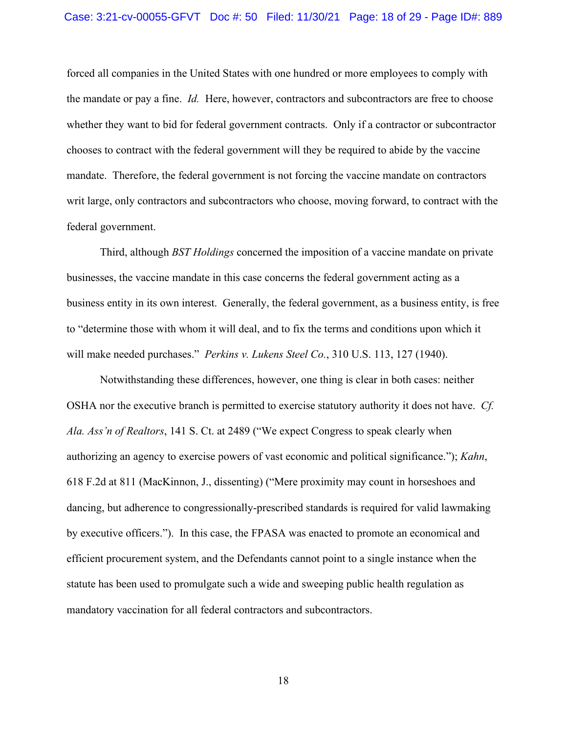forced all companies in the United States with one hundred or more employees to comply with the mandate or pay a fine. *Id.* Here, however, contractors and subcontractors are free to choose whether they want to bid for federal government contracts. Only if a contractor or subcontractor chooses to contract with the federal government will they be required to abide by the vaccine mandate. Therefore, the federal government is not forcing the vaccine mandate on contractors writ large, only contractors and subcontractors who choose, moving forward, to contract with the federal government.

Third, although *BST Holdings* concerned the imposition of a vaccine mandate on private businesses, the vaccine mandate in this case concerns the federal government acting as a business entity in its own interest. Generally, the federal government, as a business entity, is free to "determine those with whom it will deal, and to fix the terms and conditions upon which it will make needed purchases." *Perkins v. Lukens Steel Co.*, 310 U.S. 113, 127 (1940).

Notwithstanding these differences, however, one thing is clear in both cases: neither OSHA nor the executive branch is permitted to exercise statutory authority it does not have. *Cf. Ala. Ass'n of Realtors*, 141 S. Ct. at 2489 ("We expect Congress to speak clearly when authorizing an agency to exercise powers of vast economic and political significance."); *Kahn*, 618 F.2d at 811 (MacKinnon, J., dissenting) ("Mere proximity may count in horseshoes and dancing, but adherence to congressionally-prescribed standards is required for valid lawmaking by executive officers."). In this case, the FPASA was enacted to promote an economical and efficient procurement system, and the Defendants cannot point to a single instance when the statute has been used to promulgate such a wide and sweeping public health regulation as mandatory vaccination for all federal contractors and subcontractors.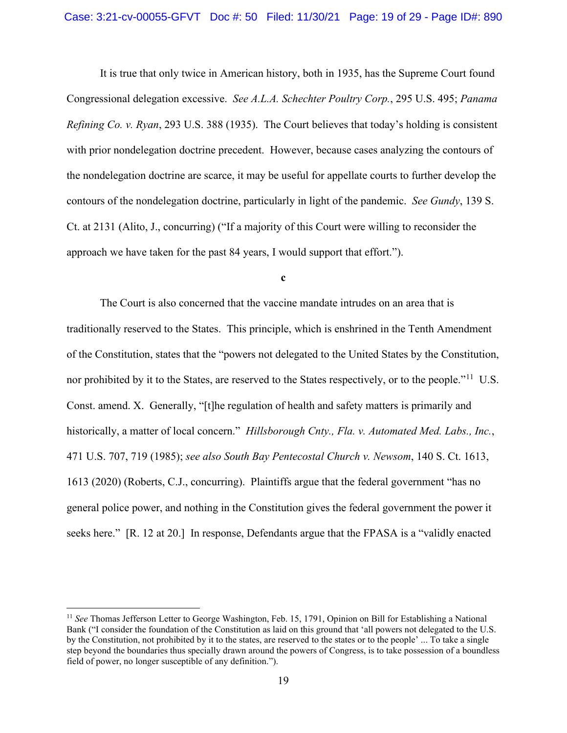It is true that only twice in American history, both in 1935, has the Supreme Court found Congressional delegation excessive. *See A.L.A. Schechter Poultry Corp.*, 295 U.S. 495; *Panama Refining Co. v. Ryan*, 293 U.S. 388 (1935). The Court believes that today's holding is consistent with prior nondelegation doctrine precedent. However, because cases analyzing the contours of the nondelegation doctrine are scarce, it may be useful for appellate courts to further develop the contours of the nondelegation doctrine, particularly in light of the pandemic. *See Gundy*, 139 S. Ct. at 2131 (Alito, J., concurring) ("If a majority of this Court were willing to reconsider the approach we have taken for the past 84 years, I would support that effort.").

**c** 

The Court is also concerned that the vaccine mandate intrudes on an area that is traditionally reserved to the States. This principle, which is enshrined in the Tenth Amendment of the Constitution, states that the "powers not delegated to the United States by the Constitution, nor prohibited by it to the States, are reserved to the States respectively, or to the people."<sup>11</sup> U.S. Const. amend. X. Generally, "[t]he regulation of health and safety matters is primarily and historically, a matter of local concern." *Hillsborough Cnty., Fla. v. Automated Med. Labs., Inc.*, 471 U.S. 707, 719 (1985); *see also South Bay Pentecostal Church v. Newsom*, 140 S. Ct. 1613, 1613 (2020) (Roberts, C.J., concurring). Plaintiffs argue that the federal government "has no general police power, and nothing in the Constitution gives the federal government the power it seeks here." [R. 12 at 20.] In response, Defendants argue that the FPASA is a "validly enacted

<sup>11</sup> *See* Thomas Jefferson Letter to George Washington, Feb. 15, 1791, Opinion on Bill for Establishing a National Bank ("I consider the foundation of the Constitution as laid on this ground that 'all powers not delegated to the U.S. by the Constitution, not prohibited by it to the states, are reserved to the states or to the people' ... To take a single step beyond the boundaries thus specially drawn around the powers of Congress, is to take possession of a boundless field of power, no longer susceptible of any definition.").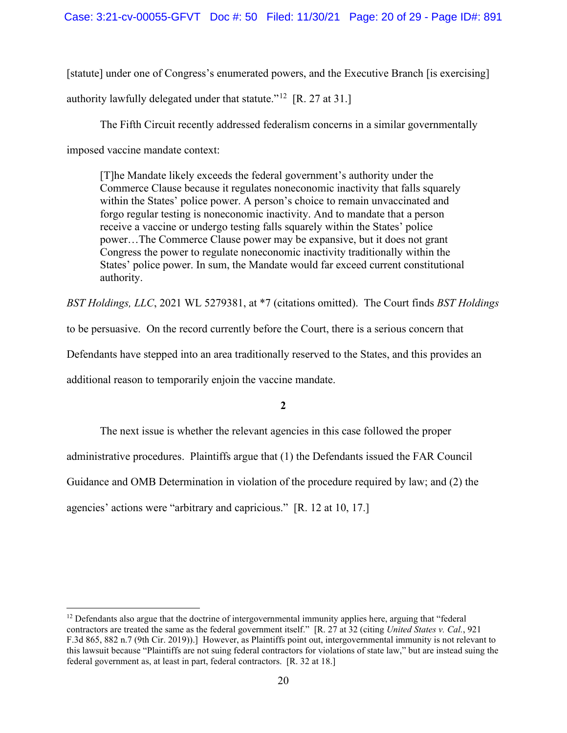[statute] under one of Congress's enumerated powers, and the Executive Branch [is exercising] authority lawfully delegated under that statute."<sup>12</sup> [R. 27 at 31.]

 The Fifth Circuit recently addressed federalism concerns in a similar governmentally imposed vaccine mandate context:

[T]he Mandate likely exceeds the federal government's authority under the Commerce Clause because it regulates noneconomic inactivity that falls squarely within the States' police power. A person's choice to remain unvaccinated and forgo regular testing is noneconomic inactivity. And to mandate that a person receive a vaccine or undergo testing falls squarely within the States' police power…The Commerce Clause power may be expansive, but it does not grant Congress the power to regulate noneconomic inactivity traditionally within the States' police power. In sum, the Mandate would far exceed current constitutional authority.

*BST Holdings, LLC*, 2021 WL 5279381, at \*7 (citations omitted). The Court finds *BST Holdings* 

to be persuasive. On the record currently before the Court, there is a serious concern that

Defendants have stepped into an area traditionally reserved to the States, and this provides an

additional reason to temporarily enjoin the vaccine mandate.

## **2**

The next issue is whether the relevant agencies in this case followed the proper administrative procedures. Plaintiffs argue that (1) the Defendants issued the FAR Council Guidance and OMB Determination in violation of the procedure required by law; and (2) the agencies' actions were "arbitrary and capricious." [R. 12 at 10, 17.]

 $12$  Defendants also argue that the doctrine of intergovernmental immunity applies here, arguing that "federal" contractors are treated the same as the federal government itself." [R. 27 at 32 (citing *United States v. Cal.*, 921 F.3d 865, 882 n.7 (9th Cir. 2019)).] However, as Plaintiffs point out, intergovernmental immunity is not relevant to this lawsuit because "Plaintiffs are not suing federal contractors for violations of state law," but are instead suing the federal government as, at least in part, federal contractors. [R. 32 at 18.]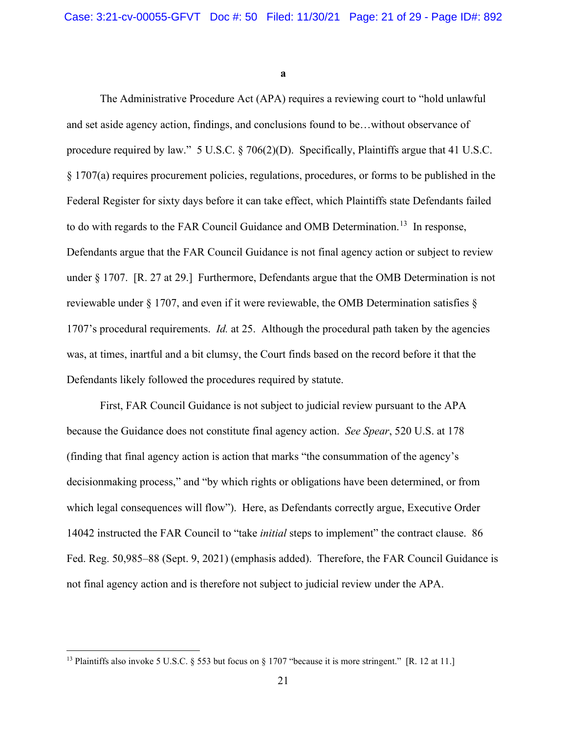**a** 

The Administrative Procedure Act (APA) requires a reviewing court to "hold unlawful and set aside agency action, findings, and conclusions found to be…without observance of procedure required by law." 5 U.S.C. § 706(2)(D). Specifically, Plaintiffs argue that 41 U.S.C. § 1707(a) requires procurement policies, regulations, procedures, or forms to be published in the Federal Register for sixty days before it can take effect, which Plaintiffs state Defendants failed to do with regards to the FAR Council Guidance and OMB Determination.<sup>13</sup> In response, Defendants argue that the FAR Council Guidance is not final agency action or subject to review under § 1707. [R. 27 at 29.] Furthermore, Defendants argue that the OMB Determination is not reviewable under  $\S 1707$ , and even if it were reviewable, the OMB Determination satisfies  $\S$ 1707's procedural requirements. *Id.* at 25. Although the procedural path taken by the agencies was, at times, inartful and a bit clumsy, the Court finds based on the record before it that the Defendants likely followed the procedures required by statute.

First, FAR Council Guidance is not subject to judicial review pursuant to the APA because the Guidance does not constitute final agency action. *See Spear*, 520 U.S. at 178 (finding that final agency action is action that marks "the consummation of the agency's decisionmaking process," and "by which rights or obligations have been determined, or from which legal consequences will flow"). Here, as Defendants correctly argue, Executive Order 14042 instructed the FAR Council to "take *initial* steps to implement" the contract clause. 86 Fed. Reg. 50,985–88 (Sept. 9, 2021) (emphasis added). Therefore, the FAR Council Guidance is not final agency action and is therefore not subject to judicial review under the APA.

<sup>&</sup>lt;sup>13</sup> Plaintiffs also invoke 5 U.S.C. § 553 but focus on § 1707 "because it is more stringent." [R. 12 at 11.]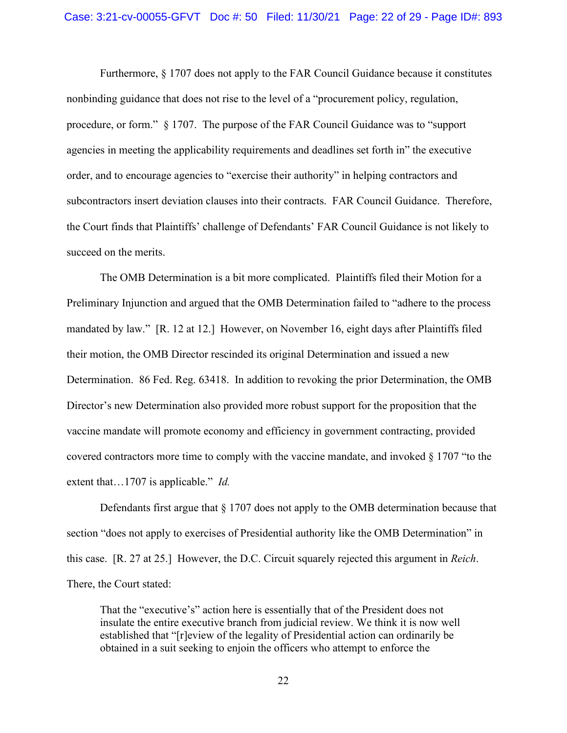Furthermore, § 1707 does not apply to the FAR Council Guidance because it constitutes nonbinding guidance that does not rise to the level of a "procurement policy, regulation, procedure, or form." § 1707. The purpose of the FAR Council Guidance was to "support agencies in meeting the applicability requirements and deadlines set forth in" the executive order, and to encourage agencies to "exercise their authority" in helping contractors and subcontractors insert deviation clauses into their contracts. FAR Council Guidance. Therefore, the Court finds that Plaintiffs' challenge of Defendants' FAR Council Guidance is not likely to succeed on the merits.

The OMB Determination is a bit more complicated. Plaintiffs filed their Motion for a Preliminary Injunction and argued that the OMB Determination failed to "adhere to the process mandated by law." [R. 12 at 12.] However, on November 16, eight days after Plaintiffs filed their motion, the OMB Director rescinded its original Determination and issued a new Determination. 86 Fed. Reg. 63418. In addition to revoking the prior Determination, the OMB Director's new Determination also provided more robust support for the proposition that the vaccine mandate will promote economy and efficiency in government contracting, provided covered contractors more time to comply with the vaccine mandate, and invoked  $\S 1707$  "to the extent that…1707 is applicable." *Id.* 

Defendants first argue that § 1707 does not apply to the OMB determination because that section "does not apply to exercises of Presidential authority like the OMB Determination" in this case. [R. 27 at 25.] However, the D.C. Circuit squarely rejected this argument in *Reich*. There, the Court stated:

That the "executive's" action here is essentially that of the President does not insulate the entire executive branch from judicial review. We think it is now well established that "[r]eview of the legality of Presidential action can ordinarily be obtained in a suit seeking to enjoin the officers who attempt to enforce the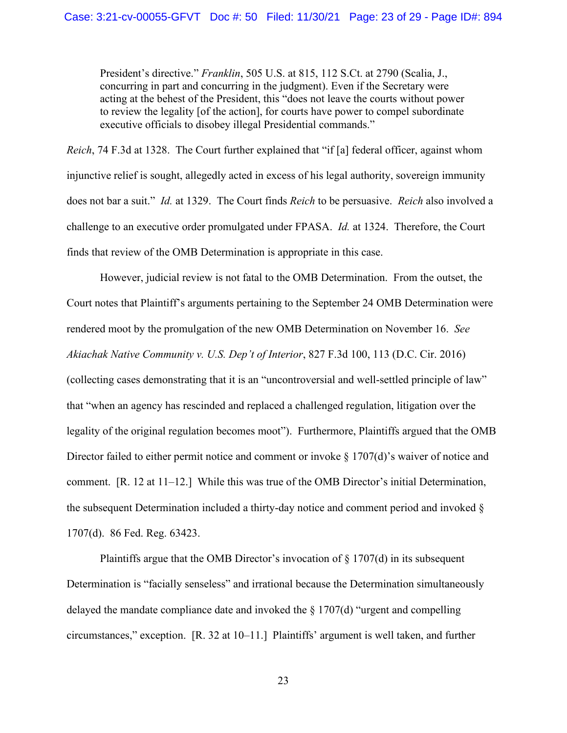President's directive." *Franklin*, 505 U.S. at 815, 112 S.Ct. at 2790 (Scalia, J., concurring in part and concurring in the judgment). Even if the Secretary were acting at the behest of the President, this "does not leave the courts without power to review the legality [of the action], for courts have power to compel subordinate executive officials to disobey illegal Presidential commands."

*Reich*, 74 F.3d at 1328. The Court further explained that "if [a] federal officer, against whom injunctive relief is sought, allegedly acted in excess of his legal authority, sovereign immunity does not bar a suit." *Id.* at 1329. The Court finds *Reich* to be persuasive. *Reich* also involved a challenge to an executive order promulgated under FPASA. *Id.* at 1324. Therefore, the Court finds that review of the OMB Determination is appropriate in this case.

However, judicial review is not fatal to the OMB Determination. From the outset, the Court notes that Plaintiff's arguments pertaining to the September 24 OMB Determination were rendered moot by the promulgation of the new OMB Determination on November 16. *See Akiachak Native Community v. U.S. Dep't of Interior*, 827 F.3d 100, 113 (D.C. Cir. 2016) (collecting cases demonstrating that it is an "uncontroversial and well-settled principle of law" that "when an agency has rescinded and replaced a challenged regulation, litigation over the legality of the original regulation becomes moot"). Furthermore, Plaintiffs argued that the OMB Director failed to either permit notice and comment or invoke § 1707(d)'s waiver of notice and comment. [R. 12 at 11–12.] While this was true of the OMB Director's initial Determination, the subsequent Determination included a thirty-day notice and comment period and invoked § 1707(d). 86 Fed. Reg. 63423.

Plaintiffs argue that the OMB Director's invocation of  $\S 1707(d)$  in its subsequent Determination is "facially senseless" and irrational because the Determination simultaneously delayed the mandate compliance date and invoked the § 1707(d) "urgent and compelling circumstances," exception. [R. 32 at 10–11.] Plaintiffs' argument is well taken, and further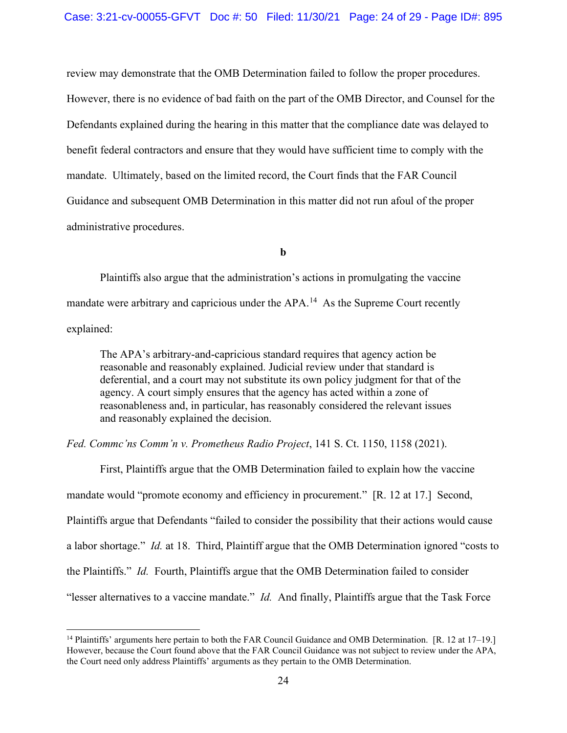review may demonstrate that the OMB Determination failed to follow the proper procedures. However, there is no evidence of bad faith on the part of the OMB Director, and Counsel for the Defendants explained during the hearing in this matter that the compliance date was delayed to benefit federal contractors and ensure that they would have sufficient time to comply with the mandate. Ultimately, based on the limited record, the Court finds that the FAR Council Guidance and subsequent OMB Determination in this matter did not run afoul of the proper administrative procedures.

**b** 

Plaintiffs also argue that the administration's actions in promulgating the vaccine mandate were arbitrary and capricious under the APA.<sup>14</sup> As the Supreme Court recently explained:

The APA's arbitrary-and-capricious standard requires that agency action be reasonable and reasonably explained. Judicial review under that standard is deferential, and a court may not substitute its own policy judgment for that of the agency. A court simply ensures that the agency has acted within a zone of reasonableness and, in particular, has reasonably considered the relevant issues and reasonably explained the decision.

*Fed. Commc'ns Comm'n v. Prometheus Radio Project*, 141 S. Ct. 1150, 1158 (2021).

First, Plaintiffs argue that the OMB Determination failed to explain how the vaccine mandate would "promote economy and efficiency in procurement." [R. 12 at 17.] Second, Plaintiffs argue that Defendants "failed to consider the possibility that their actions would cause a labor shortage." *Id.* at 18. Third, Plaintiff argue that the OMB Determination ignored "costs to the Plaintiffs." *Id.* Fourth, Plaintiffs argue that the OMB Determination failed to consider "lesser alternatives to a vaccine mandate." *Id.* And finally, Plaintiffs argue that the Task Force

<sup>&</sup>lt;sup>14</sup> Plaintiffs' arguments here pertain to both the FAR Council Guidance and OMB Determination. [R. 12 at 17–19.] However, because the Court found above that the FAR Council Guidance was not subject to review under the APA, the Court need only address Plaintiffs' arguments as they pertain to the OMB Determination.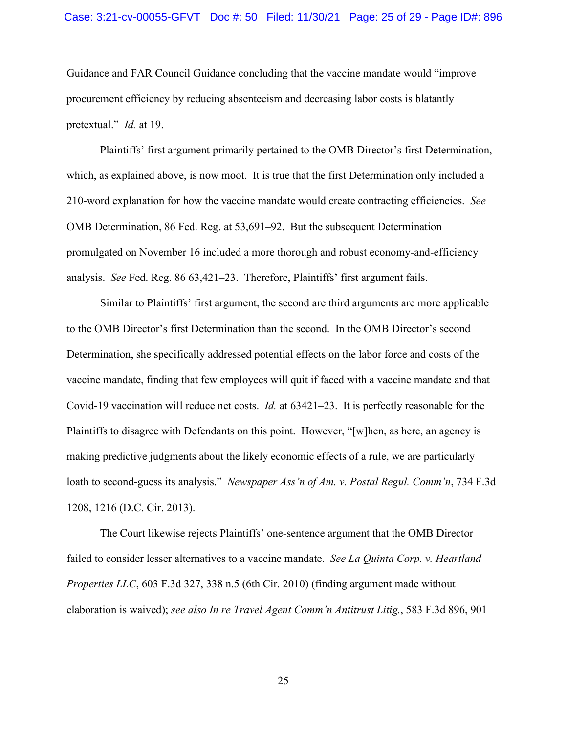Guidance and FAR Council Guidance concluding that the vaccine mandate would "improve procurement efficiency by reducing absenteeism and decreasing labor costs is blatantly pretextual." *Id.* at 19.

Plaintiffs' first argument primarily pertained to the OMB Director's first Determination, which, as explained above, is now moot. It is true that the first Determination only included a 210-word explanation for how the vaccine mandate would create contracting efficiencies. *See* OMB Determination, 86 Fed. Reg. at 53,691–92. But the subsequent Determination promulgated on November 16 included a more thorough and robust economy-and-efficiency analysis. *See* Fed. Reg. 86 63,421–23. Therefore, Plaintiffs' first argument fails.

Similar to Plaintiffs' first argument, the second are third arguments are more applicable to the OMB Director's first Determination than the second. In the OMB Director's second Determination, she specifically addressed potential effects on the labor force and costs of the vaccine mandate, finding that few employees will quit if faced with a vaccine mandate and that Covid-19 vaccination will reduce net costs. *Id.* at 63421–23. It is perfectly reasonable for the Plaintiffs to disagree with Defendants on this point. However, "[w]hen, as here, an agency is making predictive judgments about the likely economic effects of a rule, we are particularly loath to second-guess its analysis." *Newspaper Ass'n of Am. v. Postal Regul. Comm'n*, 734 F.3d 1208, 1216 (D.C. Cir. 2013).

The Court likewise rejects Plaintiffs' one-sentence argument that the OMB Director failed to consider lesser alternatives to a vaccine mandate. *See La Quinta Corp. v. Heartland Properties LLC*, 603 F.3d 327, 338 n.5 (6th Cir. 2010) (finding argument made without elaboration is waived); *see also In re Travel Agent Comm'n Antitrust Litig.*, 583 F.3d 896, 901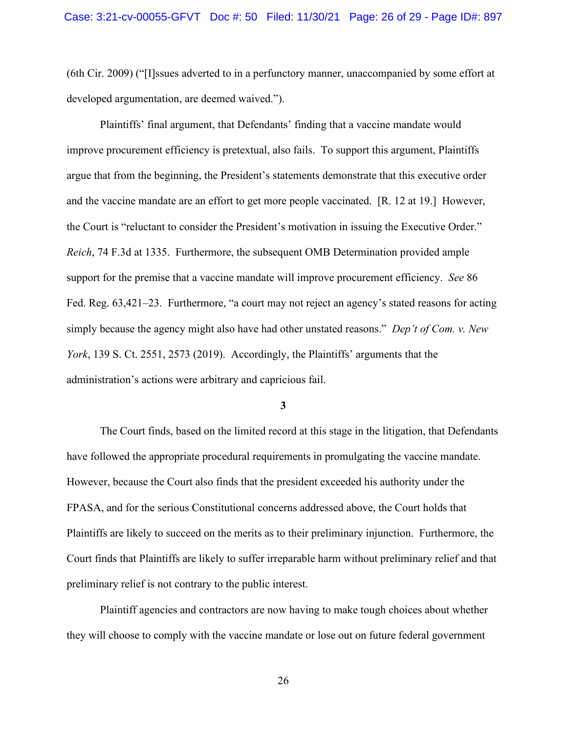(6th Cir. 2009) ("[I]ssues adverted to in a perfunctory manner, unaccompanied by some effort at developed argumentation, are deemed waived.").

Plaintiffs' final argument, that Defendants' finding that a vaccine mandate would improve procurement efficiency is pretextual, also fails. To support this argument, Plaintiffs argue that from the beginning, the President's statements demonstrate that this executive order and the vaccine mandate are an effort to get more people vaccinated. [R. 12 at 19.] However, the Court is "reluctant to consider the President's motivation in issuing the Executive Order." *Reich*, 74 F.3d at 1335. Furthermore, the subsequent OMB Determination provided ample support for the premise that a vaccine mandate will improve procurement efficiency. *See* 86 Fed. Reg. 63,421–23. Furthermore, "a court may not reject an agency's stated reasons for acting simply because the agency might also have had other unstated reasons." *Dep't of Com. v. New York*, 139 S. Ct. 2551, 2573 (2019). Accordingly, the Plaintiffs' arguments that the administration's actions were arbitrary and capricious fail.

**3** 

The Court finds, based on the limited record at this stage in the litigation, that Defendants have followed the appropriate procedural requirements in promulgating the vaccine mandate. However, because the Court also finds that the president exceeded his authority under the FPASA, and for the serious Constitutional concerns addressed above, the Court holds that Plaintiffs are likely to succeed on the merits as to their preliminary injunction. Furthermore, the Court finds that Plaintiffs are likely to suffer irreparable harm without preliminary relief and that preliminary relief is not contrary to the public interest.

Plaintiff agencies and contractors are now having to make tough choices about whether they will choose to comply with the vaccine mandate or lose out on future federal government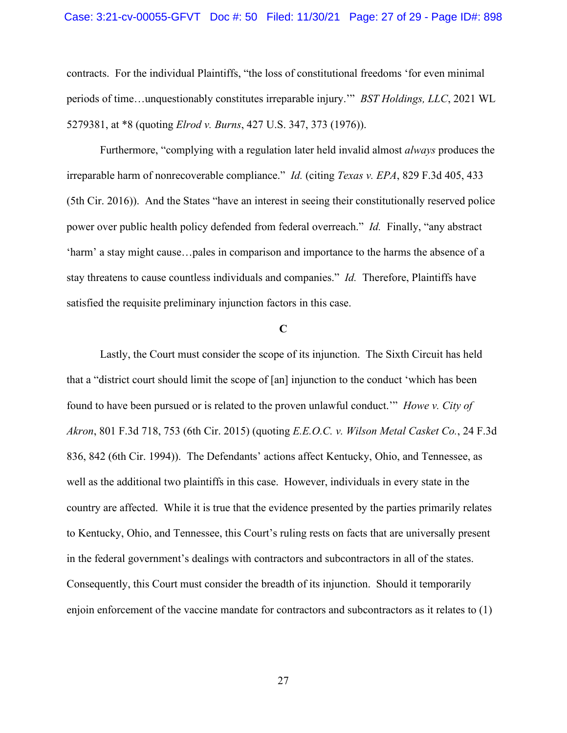#### Case: 3:21-cv-00055-GFVT Doc #: 50 Filed: 11/30/21 Page: 27 of 29 - Page ID#: 898

contracts. For the individual Plaintiffs, "the loss of constitutional freedoms 'for even minimal periods of time…unquestionably constitutes irreparable injury.'" *BST Holdings, LLC*, 2021 WL 5279381, at \*8 (quoting *Elrod v. Burns*, 427 U.S. 347, 373 (1976)).

Furthermore, "complying with a regulation later held invalid almost *always* produces the irreparable harm of nonrecoverable compliance." *Id.* (citing *Texas v. EPA*, 829 F.3d 405, 433 (5th Cir. 2016)). And the States "have an interest in seeing their constitutionally reserved police power over public health policy defended from federal overreach." *Id.* Finally, "any abstract 'harm' a stay might cause…pales in comparison and importance to the harms the absence of a stay threatens to cause countless individuals and companies." *Id.* Therefore, Plaintiffs have satisfied the requisite preliminary injunction factors in this case.

## **C**

Lastly, the Court must consider the scope of its injunction. The Sixth Circuit has held that a "district court should limit the scope of [an] injunction to the conduct 'which has been found to have been pursued or is related to the proven unlawful conduct.'" *Howe v. City of Akron*, 801 F.3d 718, 753 (6th Cir. 2015) (quoting *E.E.O.C. v. Wilson Metal Casket Co.*, 24 F.3d 836, 842 (6th Cir. 1994)). The Defendants' actions affect Kentucky, Ohio, and Tennessee, as well as the additional two plaintiffs in this case. However, individuals in every state in the country are affected. While it is true that the evidence presented by the parties primarily relates to Kentucky, Ohio, and Tennessee, this Court's ruling rests on facts that are universally present in the federal government's dealings with contractors and subcontractors in all of the states. Consequently, this Court must consider the breadth of its injunction. Should it temporarily enjoin enforcement of the vaccine mandate for contractors and subcontractors as it relates to (1)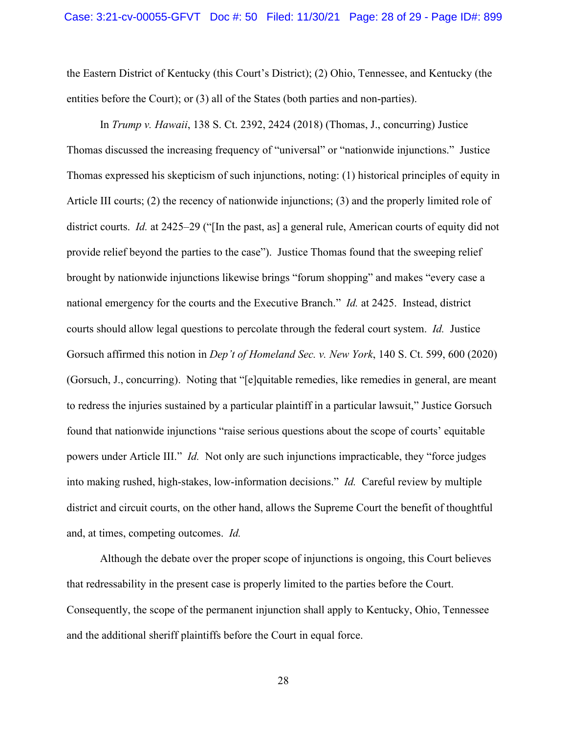the Eastern District of Kentucky (this Court's District); (2) Ohio, Tennessee, and Kentucky (the entities before the Court); or (3) all of the States (both parties and non-parties).

In *Trump v. Hawaii*, 138 S. Ct. 2392, 2424 (2018) (Thomas, J., concurring) Justice Thomas discussed the increasing frequency of "universal" or "nationwide injunctions." Justice Thomas expressed his skepticism of such injunctions, noting: (1) historical principles of equity in Article III courts; (2) the recency of nationwide injunctions; (3) and the properly limited role of district courts. *Id.* at 2425–29 ("[In the past, as] a general rule, American courts of equity did not provide relief beyond the parties to the case"). Justice Thomas found that the sweeping relief brought by nationwide injunctions likewise brings "forum shopping" and makes "every case a national emergency for the courts and the Executive Branch." *Id.* at 2425. Instead, district courts should allow legal questions to percolate through the federal court system. *Id.* Justice Gorsuch affirmed this notion in *Dep't of Homeland Sec. v. New York*, 140 S. Ct. 599, 600 (2020) (Gorsuch, J., concurring). Noting that "[e]quitable remedies, like remedies in general, are meant to redress the injuries sustained by a particular plaintiff in a particular lawsuit," Justice Gorsuch found that nationwide injunctions "raise serious questions about the scope of courts' equitable powers under Article III." *Id.* Not only are such injunctions impracticable, they "force judges into making rushed, high-stakes, low-information decisions." *Id.* Careful review by multiple district and circuit courts, on the other hand, allows the Supreme Court the benefit of thoughtful and, at times, competing outcomes. *Id.*

Although the debate over the proper scope of injunctions is ongoing, this Court believes that redressability in the present case is properly limited to the parties before the Court. Consequently, the scope of the permanent injunction shall apply to Kentucky, Ohio, Tennessee and the additional sheriff plaintiffs before the Court in equal force.